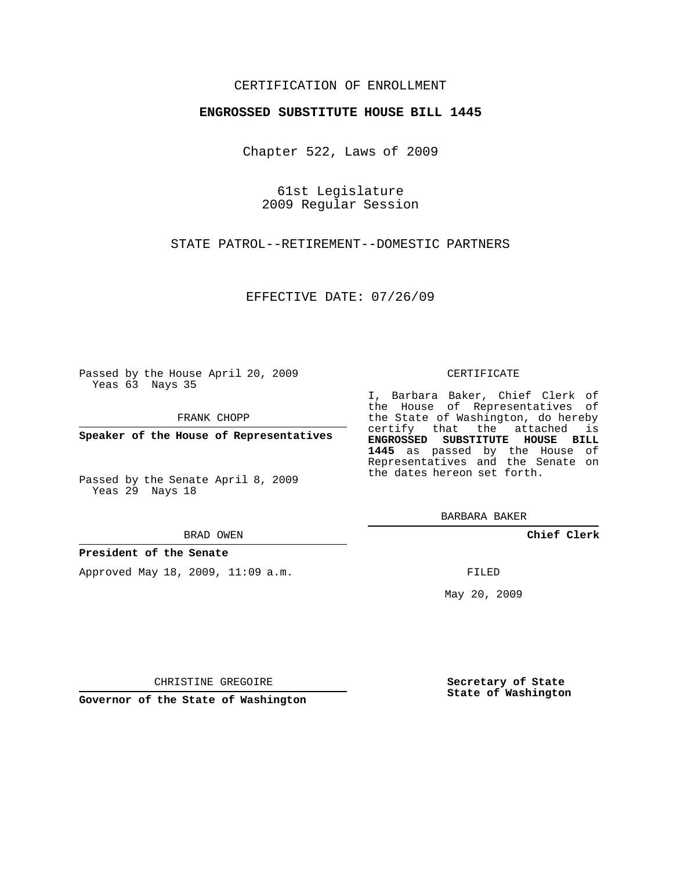### CERTIFICATION OF ENROLLMENT

#### **ENGROSSED SUBSTITUTE HOUSE BILL 1445**

Chapter 522, Laws of 2009

61st Legislature 2009 Regular Session

STATE PATROL--RETIREMENT--DOMESTIC PARTNERS

EFFECTIVE DATE: 07/26/09

Passed by the House April 20, 2009 Yeas 63 Nays 35

FRANK CHOPP

**Speaker of the House of Representatives**

Yeas 29 Nays 18

BRAD OWEN

**President of the Senate**

Approved May 18, 2009, 11:09 a.m.

#### CERTIFICATE

I, Barbara Baker, Chief Clerk of the House of Representatives of the State of Washington, do hereby certify that the attached is **ENGROSSED SUBSTITUTE HOUSE BILL 1445** as passed by the House of Representatives and the Senate on the dates hereon set forth.

BARBARA BAKER

**Chief Clerk**

FILED

May 20, 2009

**Secretary of State State of Washington**

CHRISTINE GREGOIRE

**Governor of the State of Washington**

Passed by the Senate April 8, 2009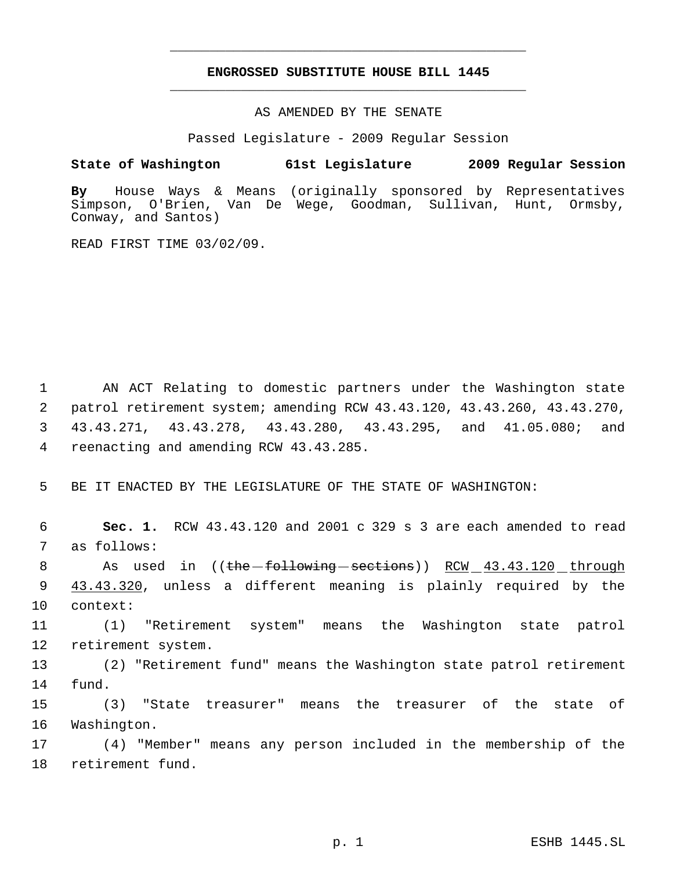# **ENGROSSED SUBSTITUTE HOUSE BILL 1445** \_\_\_\_\_\_\_\_\_\_\_\_\_\_\_\_\_\_\_\_\_\_\_\_\_\_\_\_\_\_\_\_\_\_\_\_\_\_\_\_\_\_\_\_\_

\_\_\_\_\_\_\_\_\_\_\_\_\_\_\_\_\_\_\_\_\_\_\_\_\_\_\_\_\_\_\_\_\_\_\_\_\_\_\_\_\_\_\_\_\_

AS AMENDED BY THE SENATE

Passed Legislature - 2009 Regular Session

## **State of Washington 61st Legislature 2009 Regular Session**

**By** House Ways & Means (originally sponsored by Representatives Simpson, O'Brien, Van De Wege, Goodman, Sullivan, Hunt, Ormsby, Conway, and Santos)

READ FIRST TIME 03/02/09.

 AN ACT Relating to domestic partners under the Washington state patrol retirement system; amending RCW 43.43.120, 43.43.260, 43.43.270, 43.43.271, 43.43.278, 43.43.280, 43.43.295, and 41.05.080; and reenacting and amending RCW 43.43.285.

5 BE IT ENACTED BY THE LEGISLATURE OF THE STATE OF WASHINGTON:

 6 **Sec. 1.** RCW 43.43.120 and 2001 c 329 s 3 are each amended to read 7 as follows:

8 As used in ((the following sections)) RCW 43.43.120 through 9 43.43.320, unless a different meaning is plainly required by the 10 context:

11 (1) "Retirement system" means the Washington state patrol 12 retirement system.

13 (2) "Retirement fund" means the Washington state patrol retirement 14 fund.

15 (3) "State treasurer" means the treasurer of the state of 16 Washington.

17 (4) "Member" means any person included in the membership of the 18 retirement fund.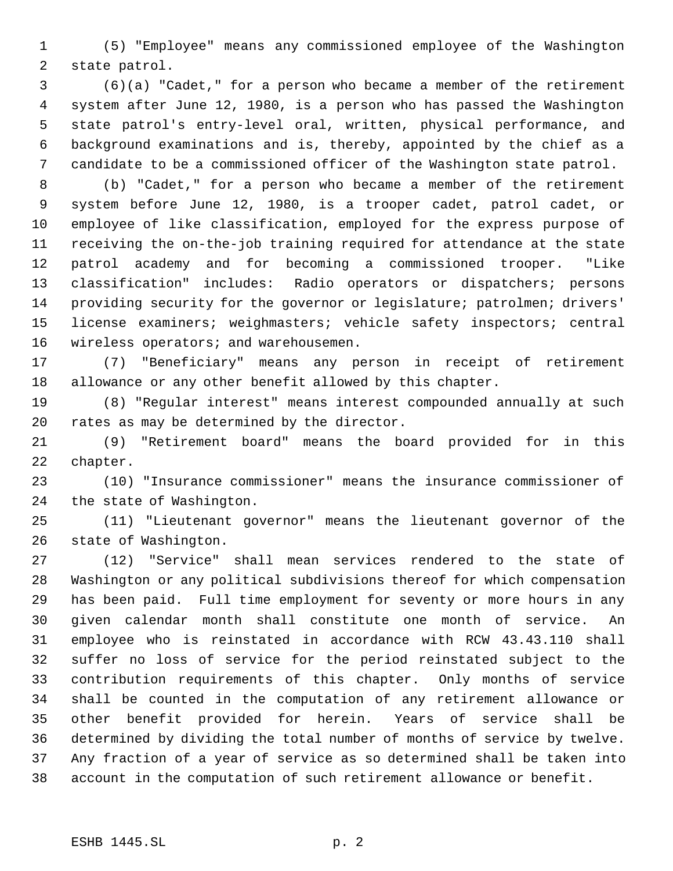(5) "Employee" means any commissioned employee of the Washington state patrol.

 (6)(a) "Cadet," for a person who became a member of the retirement system after June 12, 1980, is a person who has passed the Washington state patrol's entry-level oral, written, physical performance, and background examinations and is, thereby, appointed by the chief as a candidate to be a commissioned officer of the Washington state patrol.

 (b) "Cadet," for a person who became a member of the retirement system before June 12, 1980, is a trooper cadet, patrol cadet, or employee of like classification, employed for the express purpose of receiving the on-the-job training required for attendance at the state patrol academy and for becoming a commissioned trooper. "Like classification" includes: Radio operators or dispatchers; persons providing security for the governor or legislature; patrolmen; drivers' license examiners; weighmasters; vehicle safety inspectors; central 16 wireless operators; and warehousemen.

 (7) "Beneficiary" means any person in receipt of retirement allowance or any other benefit allowed by this chapter.

 (8) "Regular interest" means interest compounded annually at such rates as may be determined by the director.

 (9) "Retirement board" means the board provided for in this chapter.

 (10) "Insurance commissioner" means the insurance commissioner of the state of Washington.

 (11) "Lieutenant governor" means the lieutenant governor of the state of Washington.

 (12) "Service" shall mean services rendered to the state of Washington or any political subdivisions thereof for which compensation has been paid. Full time employment for seventy or more hours in any given calendar month shall constitute one month of service. An employee who is reinstated in accordance with RCW 43.43.110 shall suffer no loss of service for the period reinstated subject to the contribution requirements of this chapter. Only months of service shall be counted in the computation of any retirement allowance or other benefit provided for herein. Years of service shall be determined by dividing the total number of months of service by twelve. Any fraction of a year of service as so determined shall be taken into account in the computation of such retirement allowance or benefit.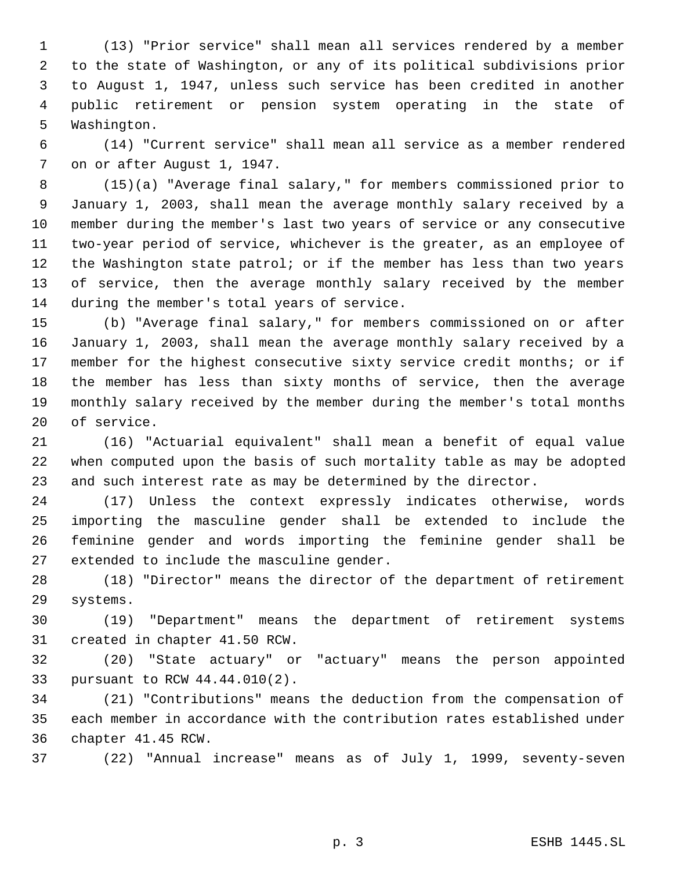(13) "Prior service" shall mean all services rendered by a member to the state of Washington, or any of its political subdivisions prior to August 1, 1947, unless such service has been credited in another public retirement or pension system operating in the state of Washington.

 (14) "Current service" shall mean all service as a member rendered on or after August 1, 1947.

 (15)(a) "Average final salary," for members commissioned prior to January 1, 2003, shall mean the average monthly salary received by a member during the member's last two years of service or any consecutive two-year period of service, whichever is the greater, as an employee of the Washington state patrol; or if the member has less than two years of service, then the average monthly salary received by the member during the member's total years of service.

 (b) "Average final salary," for members commissioned on or after January 1, 2003, shall mean the average monthly salary received by a member for the highest consecutive sixty service credit months; or if the member has less than sixty months of service, then the average monthly salary received by the member during the member's total months of service.

 (16) "Actuarial equivalent" shall mean a benefit of equal value when computed upon the basis of such mortality table as may be adopted and such interest rate as may be determined by the director.

 (17) Unless the context expressly indicates otherwise, words importing the masculine gender shall be extended to include the feminine gender and words importing the feminine gender shall be extended to include the masculine gender.

 (18) "Director" means the director of the department of retirement systems.

 (19) "Department" means the department of retirement systems created in chapter 41.50 RCW.

 (20) "State actuary" or "actuary" means the person appointed pursuant to RCW 44.44.010(2).

 (21) "Contributions" means the deduction from the compensation of each member in accordance with the contribution rates established under chapter 41.45 RCW.

(22) "Annual increase" means as of July 1, 1999, seventy-seven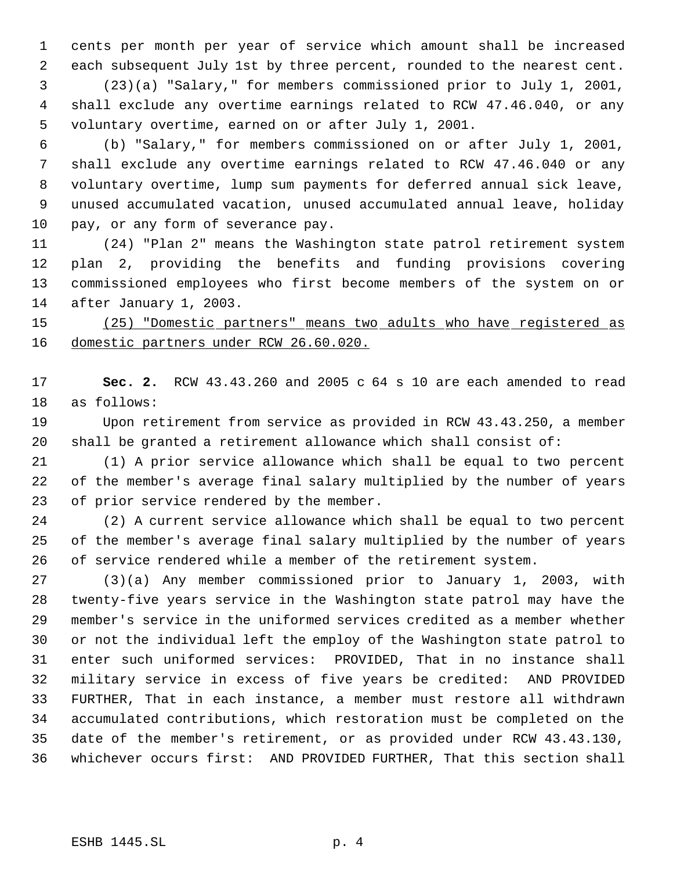cents per month per year of service which amount shall be increased each subsequent July 1st by three percent, rounded to the nearest cent.

 (23)(a) "Salary," for members commissioned prior to July 1, 2001, shall exclude any overtime earnings related to RCW 47.46.040, or any voluntary overtime, earned on or after July 1, 2001.

 (b) "Salary," for members commissioned on or after July 1, 2001, shall exclude any overtime earnings related to RCW 47.46.040 or any voluntary overtime, lump sum payments for deferred annual sick leave, unused accumulated vacation, unused accumulated annual leave, holiday pay, or any form of severance pay.

 (24) "Plan 2" means the Washington state patrol retirement system plan 2, providing the benefits and funding provisions covering commissioned employees who first become members of the system on or after January 1, 2003.

 (25) "Domestic partners" means two adults who have registered as domestic partners under RCW 26.60.020.

 **Sec. 2.** RCW 43.43.260 and 2005 c 64 s 10 are each amended to read as follows:

 Upon retirement from service as provided in RCW 43.43.250, a member shall be granted a retirement allowance which shall consist of:

 (1) A prior service allowance which shall be equal to two percent of the member's average final salary multiplied by the number of years 23 of prior service rendered by the member.

 (2) A current service allowance which shall be equal to two percent of the member's average final salary multiplied by the number of years of service rendered while a member of the retirement system.

 (3)(a) Any member commissioned prior to January 1, 2003, with twenty-five years service in the Washington state patrol may have the member's service in the uniformed services credited as a member whether or not the individual left the employ of the Washington state patrol to enter such uniformed services: PROVIDED, That in no instance shall military service in excess of five years be credited: AND PROVIDED FURTHER, That in each instance, a member must restore all withdrawn accumulated contributions, which restoration must be completed on the date of the member's retirement, or as provided under RCW 43.43.130, whichever occurs first: AND PROVIDED FURTHER, That this section shall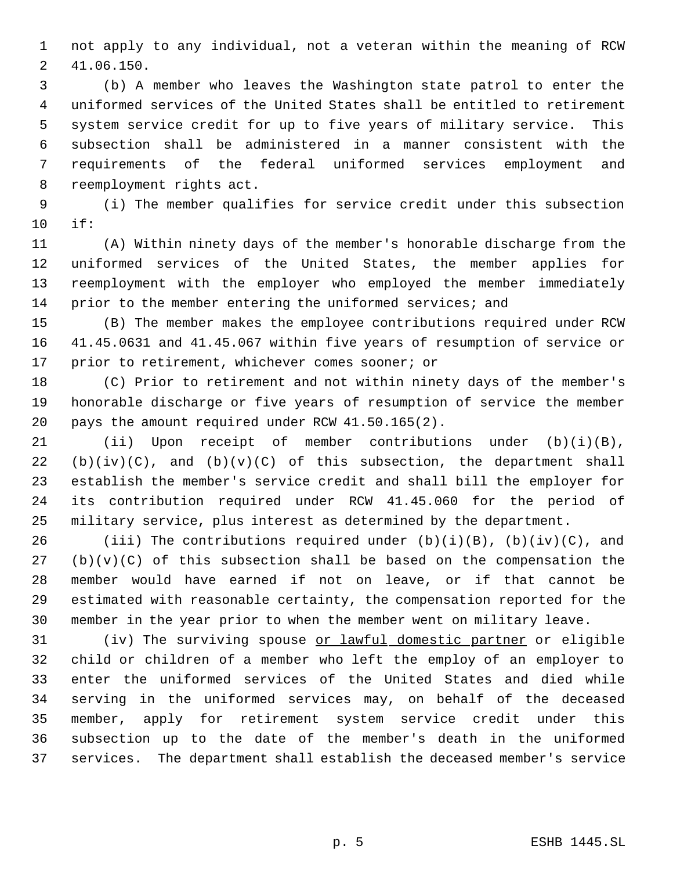not apply to any individual, not a veteran within the meaning of RCW 41.06.150.

 (b) A member who leaves the Washington state patrol to enter the uniformed services of the United States shall be entitled to retirement system service credit for up to five years of military service. This subsection shall be administered in a manner consistent with the requirements of the federal uniformed services employment and reemployment rights act.

 (i) The member qualifies for service credit under this subsection if:

 (A) Within ninety days of the member's honorable discharge from the uniformed services of the United States, the member applies for reemployment with the employer who employed the member immediately prior to the member entering the uniformed services; and

 (B) The member makes the employee contributions required under RCW 41.45.0631 and 41.45.067 within five years of resumption of service or prior to retirement, whichever comes sooner; or

 (C) Prior to retirement and not within ninety days of the member's honorable discharge or five years of resumption of service the member pays the amount required under RCW 41.50.165(2).

 (ii) Upon receipt of member contributions under (b)(i)(B), 22 (b)(iv)(C), and (b)(v)(C) of this subsection, the department shall establish the member's service credit and shall bill the employer for its contribution required under RCW 41.45.060 for the period of military service, plus interest as determined by the department.

26 (iii) The contributions required under  $(b)(i)(B)$ ,  $(b)(iv)(C)$ , and (b)(v)(C) of this subsection shall be based on the compensation the member would have earned if not on leave, or if that cannot be estimated with reasonable certainty, the compensation reported for the member in the year prior to when the member went on military leave.

31 (iv) The surviving spouse <u>or lawful domestic partner</u> or eligible child or children of a member who left the employ of an employer to enter the uniformed services of the United States and died while serving in the uniformed services may, on behalf of the deceased member, apply for retirement system service credit under this subsection up to the date of the member's death in the uniformed services. The department shall establish the deceased member's service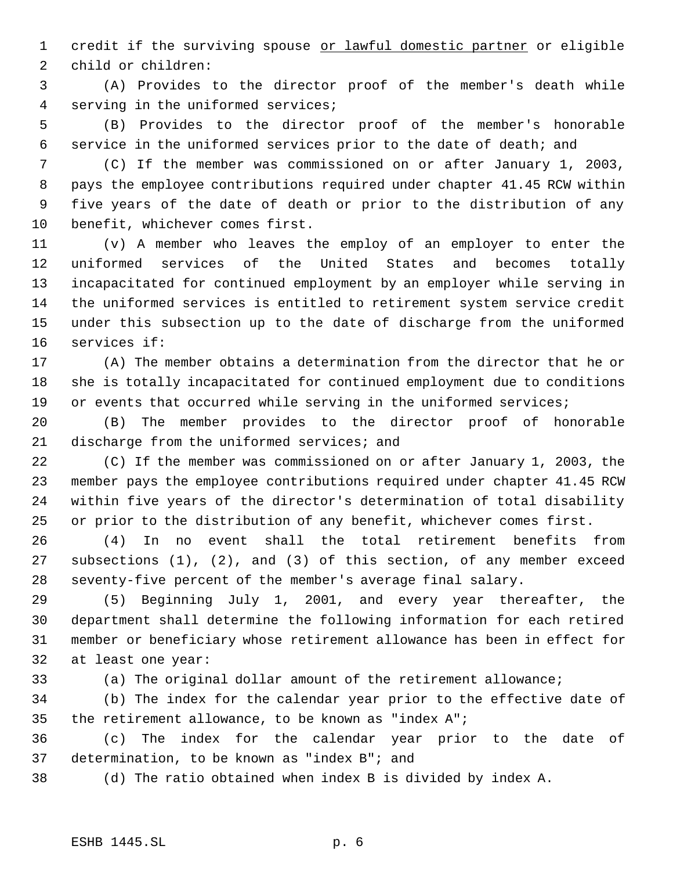1 credit if the surviving spouse or lawful domestic partner or eligible child or children:

 (A) Provides to the director proof of the member's death while serving in the uniformed services;

 (B) Provides to the director proof of the member's honorable service in the uniformed services prior to the date of death; and

 (C) If the member was commissioned on or after January 1, 2003, pays the employee contributions required under chapter 41.45 RCW within five years of the date of death or prior to the distribution of any benefit, whichever comes first.

 (v) A member who leaves the employ of an employer to enter the uniformed services of the United States and becomes totally incapacitated for continued employment by an employer while serving in the uniformed services is entitled to retirement system service credit under this subsection up to the date of discharge from the uniformed services if:

 (A) The member obtains a determination from the director that he or she is totally incapacitated for continued employment due to conditions 19 or events that occurred while serving in the uniformed services;

 (B) The member provides to the director proof of honorable 21 discharge from the uniformed services; and

 (C) If the member was commissioned on or after January 1, 2003, the member pays the employee contributions required under chapter 41.45 RCW within five years of the director's determination of total disability or prior to the distribution of any benefit, whichever comes first.

 (4) In no event shall the total retirement benefits from subsections (1), (2), and (3) of this section, of any member exceed seventy-five percent of the member's average final salary.

 (5) Beginning July 1, 2001, and every year thereafter, the department shall determine the following information for each retired member or beneficiary whose retirement allowance has been in effect for at least one year:

(a) The original dollar amount of the retirement allowance;

 (b) The index for the calendar year prior to the effective date of the retirement allowance, to be known as "index A";

 (c) The index for the calendar year prior to the date of determination, to be known as "index B"; and

(d) The ratio obtained when index B is divided by index A.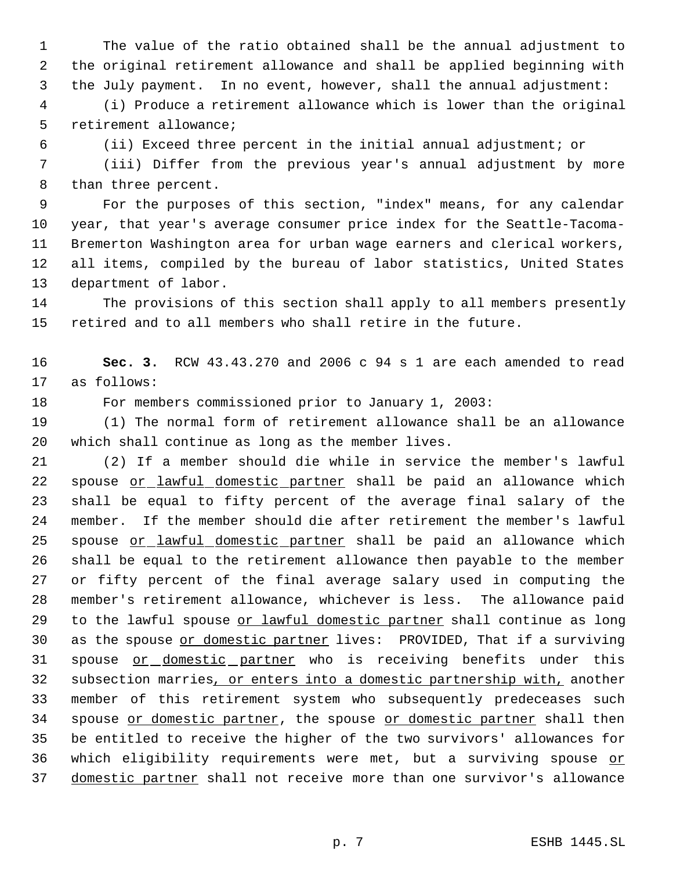The value of the ratio obtained shall be the annual adjustment to the original retirement allowance and shall be applied beginning with the July payment. In no event, however, shall the annual adjustment:

 (i) Produce a retirement allowance which is lower than the original retirement allowance;

(ii) Exceed three percent in the initial annual adjustment; or

 (iii) Differ from the previous year's annual adjustment by more than three percent.

 For the purposes of this section, "index" means, for any calendar year, that year's average consumer price index for the Seattle-Tacoma- Bremerton Washington area for urban wage earners and clerical workers, all items, compiled by the bureau of labor statistics, United States department of labor.

 The provisions of this section shall apply to all members presently retired and to all members who shall retire in the future.

 **Sec. 3.** RCW 43.43.270 and 2006 c 94 s 1 are each amended to read as follows:

For members commissioned prior to January 1, 2003:

 (1) The normal form of retirement allowance shall be an allowance which shall continue as long as the member lives.

 (2) If a member should die while in service the member's lawful 22 spouse or lawful domestic partner shall be paid an allowance which shall be equal to fifty percent of the average final salary of the member. If the member should die after retirement the member's lawful 25 spouse or lawful domestic partner shall be paid an allowance which shall be equal to the retirement allowance then payable to the member or fifty percent of the final average salary used in computing the member's retirement allowance, whichever is less. The allowance paid 29 to the lawful spouse or lawful domestic partner shall continue as long 30 as the spouse or domestic partner lives: PROVIDED, That if a surviving 31 spouse or domestic partner who is receiving benefits under this 32 subsection marries, or enters into a domestic partnership with, another member of this retirement system who subsequently predeceases such 34 spouse or domestic partner, the spouse or domestic partner shall then be entitled to receive the higher of the two survivors' allowances for 36 which eligibility requirements were met, but a surviving spouse or domestic partner shall not receive more than one survivor's allowance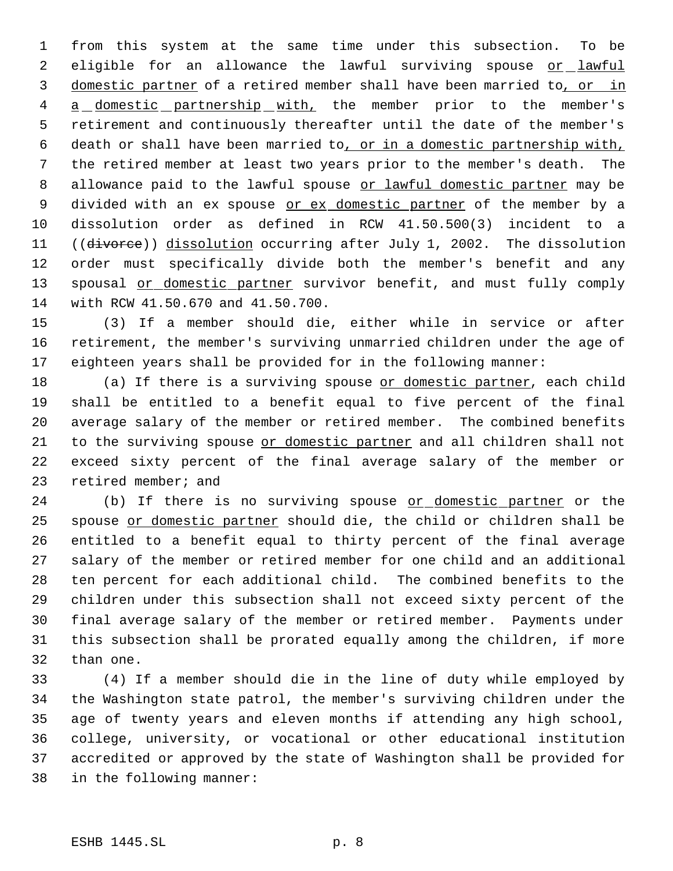from this system at the same time under this subsection. To be 2 eligible for an allowance the lawful surviving spouse or lawful domestic partner of a retired member shall have been married to, or in 4 a domestic partnership with, the member prior to the member's retirement and continuously thereafter until the date of the member's death or shall have been married to, or in a domestic partnership with, the retired member at least two years prior to the member's death. The 8 allowance paid to the lawful spouse or lawful domestic partner may be 9 divided with an ex spouse <u>or ex domestic partner</u> of the member by a dissolution order as defined in RCW 41.50.500(3) incident to a 11 ((divorce)) dissolution occurring after July 1, 2002. The dissolution order must specifically divide both the member's benefit and any 13 spousal or domestic partner survivor benefit, and must fully comply with RCW 41.50.670 and 41.50.700.

 (3) If a member should die, either while in service or after retirement, the member's surviving unmarried children under the age of eighteen years shall be provided for in the following manner:

18 (a) If there is a surviving spouse or domestic partner, each child shall be entitled to a benefit equal to five percent of the final average salary of the member or retired member. The combined benefits to the surviving spouse or domestic partner and all children shall not exceed sixty percent of the final average salary of the member or 23 retired member; and

24 (b) If there is no surviving spouse or domestic partner or the spouse or domestic partner should die, the child or children shall be entitled to a benefit equal to thirty percent of the final average salary of the member or retired member for one child and an additional ten percent for each additional child. The combined benefits to the children under this subsection shall not exceed sixty percent of the final average salary of the member or retired member. Payments under this subsection shall be prorated equally among the children, if more than one.

 (4) If a member should die in the line of duty while employed by the Washington state patrol, the member's surviving children under the age of twenty years and eleven months if attending any high school, college, university, or vocational or other educational institution accredited or approved by the state of Washington shall be provided for in the following manner: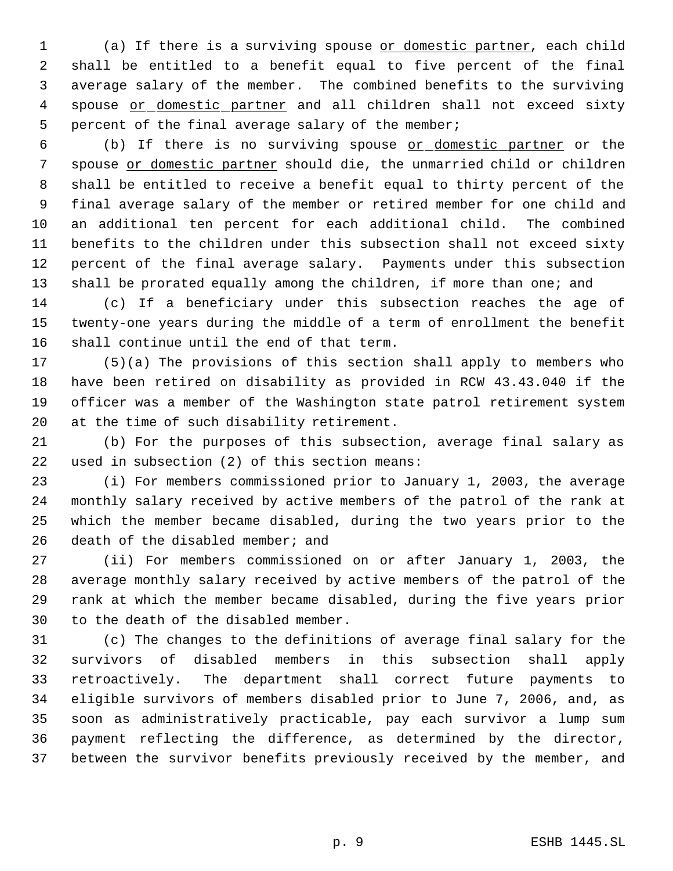(a) If there is a surviving spouse or domestic partner, each child shall be entitled to a benefit equal to five percent of the final average salary of the member. The combined benefits to the surviving 4 spouse or domestic partner and all children shall not exceed sixty percent of the final average salary of the member;

 (b) If there is no surviving spouse or domestic partner or the spouse or domestic partner should die, the unmarried child or children shall be entitled to receive a benefit equal to thirty percent of the final average salary of the member or retired member for one child and an additional ten percent for each additional child. The combined benefits to the children under this subsection shall not exceed sixty percent of the final average salary. Payments under this subsection shall be prorated equally among the children, if more than one; and

 (c) If a beneficiary under this subsection reaches the age of twenty-one years during the middle of a term of enrollment the benefit shall continue until the end of that term.

 (5)(a) The provisions of this section shall apply to members who have been retired on disability as provided in RCW 43.43.040 if the officer was a member of the Washington state patrol retirement system at the time of such disability retirement.

 (b) For the purposes of this subsection, average final salary as used in subsection (2) of this section means:

 (i) For members commissioned prior to January 1, 2003, the average monthly salary received by active members of the patrol of the rank at which the member became disabled, during the two years prior to the 26 death of the disabled member; and

 (ii) For members commissioned on or after January 1, 2003, the average monthly salary received by active members of the patrol of the rank at which the member became disabled, during the five years prior to the death of the disabled member.

 (c) The changes to the definitions of average final salary for the survivors of disabled members in this subsection shall apply retroactively. The department shall correct future payments to eligible survivors of members disabled prior to June 7, 2006, and, as soon as administratively practicable, pay each survivor a lump sum payment reflecting the difference, as determined by the director, between the survivor benefits previously received by the member, and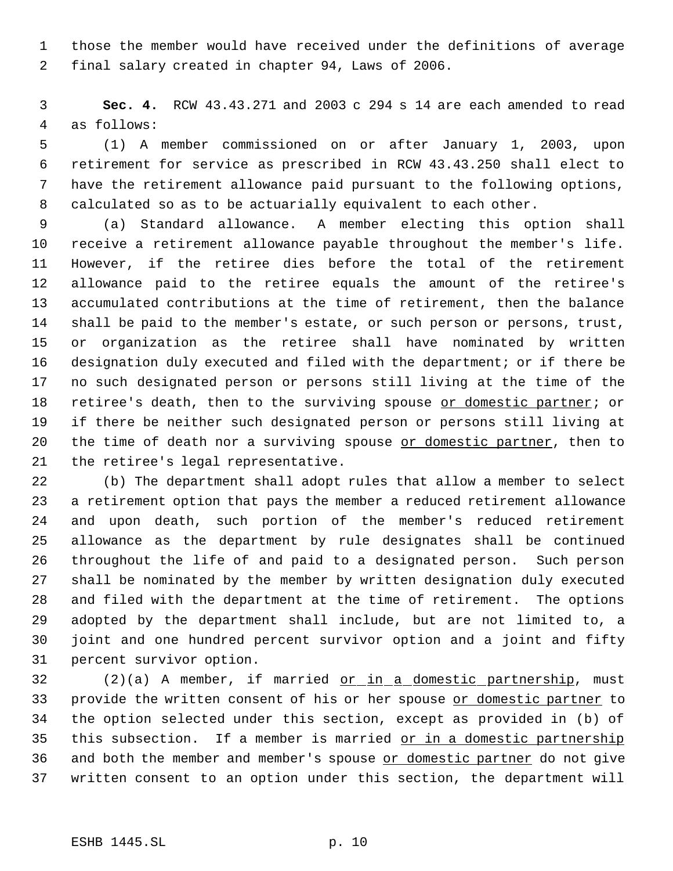those the member would have received under the definitions of average final salary created in chapter 94, Laws of 2006.

 **Sec. 4.** RCW 43.43.271 and 2003 c 294 s 14 are each amended to read as follows:

 (1) A member commissioned on or after January 1, 2003, upon retirement for service as prescribed in RCW 43.43.250 shall elect to have the retirement allowance paid pursuant to the following options, calculated so as to be actuarially equivalent to each other.

 (a) Standard allowance. A member electing this option shall receive a retirement allowance payable throughout the member's life. However, if the retiree dies before the total of the retirement allowance paid to the retiree equals the amount of the retiree's accumulated contributions at the time of retirement, then the balance shall be paid to the member's estate, or such person or persons, trust, or organization as the retiree shall have nominated by written designation duly executed and filed with the department; or if there be no such designated person or persons still living at the time of the 18 retiree's death, then to the surviving spouse or domestic partner; or if there be neither such designated person or persons still living at 20 the time of death nor a surviving spouse or domestic partner, then to the retiree's legal representative.

 (b) The department shall adopt rules that allow a member to select a retirement option that pays the member a reduced retirement allowance and upon death, such portion of the member's reduced retirement allowance as the department by rule designates shall be continued throughout the life of and paid to a designated person. Such person shall be nominated by the member by written designation duly executed and filed with the department at the time of retirement. The options adopted by the department shall include, but are not limited to, a joint and one hundred percent survivor option and a joint and fifty percent survivor option.

32 (2)(a) A member, if married <u>or in a domestic partnership</u>, must 33 provide the written consent of his or her spouse or domestic partner to the option selected under this section, except as provided in (b) of this subsection. If a member is married or in a domestic partnership 36 and both the member and member's spouse or domestic partner do not give written consent to an option under this section, the department will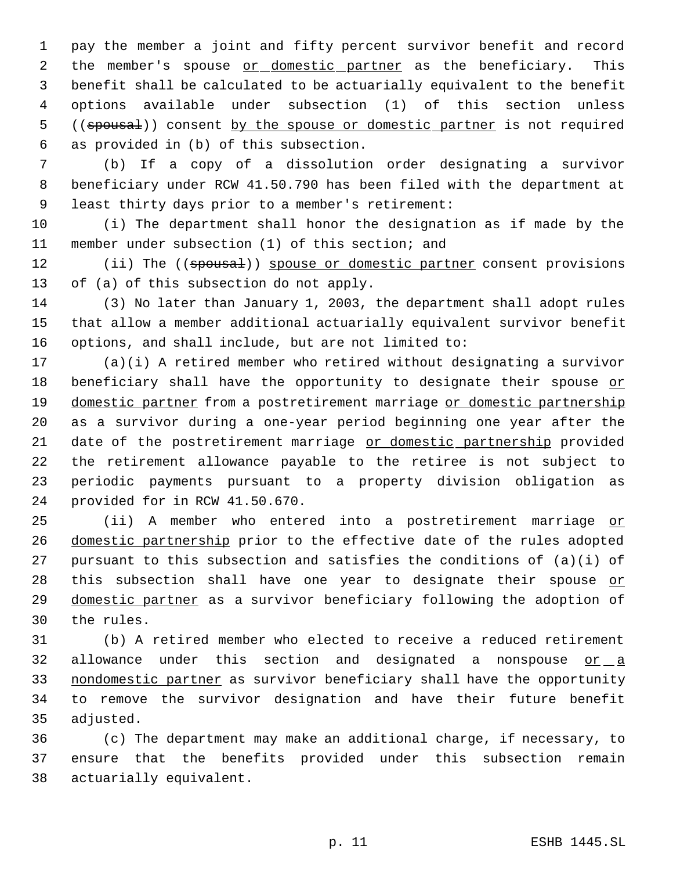pay the member a joint and fifty percent survivor benefit and record 2 the member's spouse or domestic partner as the beneficiary. This benefit shall be calculated to be actuarially equivalent to the benefit options available under subsection (1) of this section unless 5 ((spousal)) consent by the spouse or domestic partner is not required as provided in (b) of this subsection.

 (b) If a copy of a dissolution order designating a survivor beneficiary under RCW 41.50.790 has been filed with the department at least thirty days prior to a member's retirement:

 (i) The department shall honor the designation as if made by the member under subsection (1) of this section; and

12 (ii) The ((spousal)) spouse or domestic partner consent provisions of (a) of this subsection do not apply.

 (3) No later than January 1, 2003, the department shall adopt rules that allow a member additional actuarially equivalent survivor benefit options, and shall include, but are not limited to:

 (a)(i) A retired member who retired without designating a survivor 18 beneficiary shall have the opportunity to designate their spouse or 19 domestic partner from a postretirement marriage or domestic partnership as a survivor during a one-year period beginning one year after the 21 date of the postretirement marriage or domestic partnership provided the retirement allowance payable to the retiree is not subject to periodic payments pursuant to a property division obligation as provided for in RCW 41.50.670.

 (ii) A member who entered into a postretirement marriage or domestic partnership prior to the effective date of the rules adopted pursuant to this subsection and satisfies the conditions of (a)(i) of 28 this subsection shall have one year to designate their spouse or domestic partner as a survivor beneficiary following the adoption of the rules.

 (b) A retired member who elected to receive a reduced retirement allowance under this section and designated a nonspouse or a 33 nondomestic partner as survivor beneficiary shall have the opportunity to remove the survivor designation and have their future benefit adjusted.

 (c) The department may make an additional charge, if necessary, to ensure that the benefits provided under this subsection remain actuarially equivalent.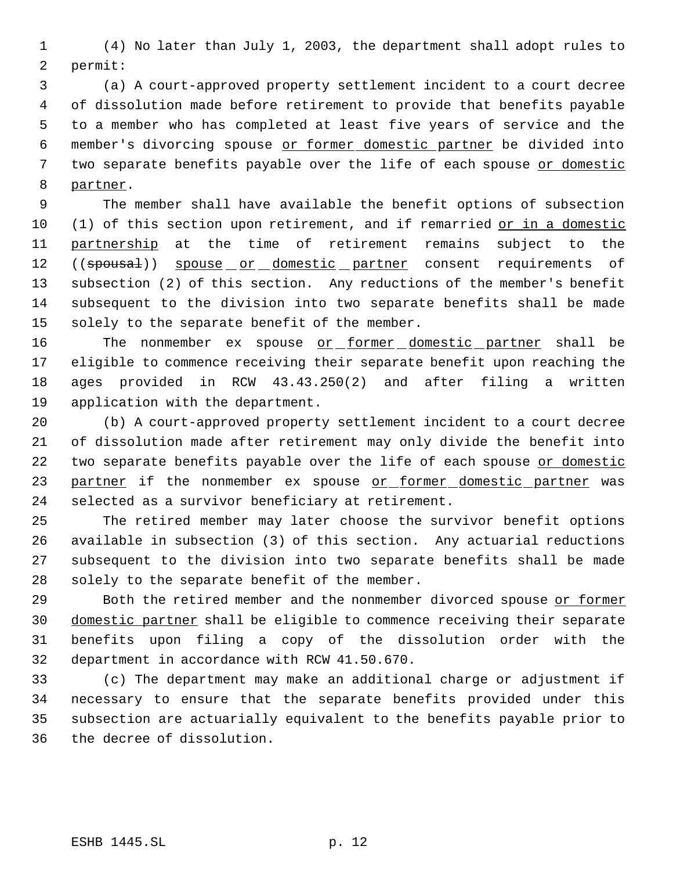(4) No later than July 1, 2003, the department shall adopt rules to permit:

 (a) A court-approved property settlement incident to a court decree of dissolution made before retirement to provide that benefits payable to a member who has completed at least five years of service and the member's divorcing spouse or former domestic partner be divided into two separate benefits payable over the life of each spouse or domestic partner.

 The member shall have available the benefit options of subsection 10 (1) of this section upon retirement, and if remarried or in a domestic partnership at the time of retirement remains subject to the 12 ((spousal)) spouse or domestic partner consent requirements of subsection (2) of this section. Any reductions of the member's benefit subsequent to the division into two separate benefits shall be made 15 solely to the separate benefit of the member.

16 The nonmember ex spouse or former domestic partner shall be eligible to commence receiving their separate benefit upon reaching the ages provided in RCW 43.43.250(2) and after filing a written application with the department.

 (b) A court-approved property settlement incident to a court decree of dissolution made after retirement may only divide the benefit into 22 two separate benefits payable over the life of each spouse or domestic 23 partner if the nonmember ex spouse or former domestic partner was selected as a survivor beneficiary at retirement.

 The retired member may later choose the survivor benefit options available in subsection (3) of this section. Any actuarial reductions subsequent to the division into two separate benefits shall be made solely to the separate benefit of the member.

 Both the retired member and the nonmember divorced spouse or former 30 domestic partner shall be eligible to commence receiving their separate benefits upon filing a copy of the dissolution order with the department in accordance with RCW 41.50.670.

 (c) The department may make an additional charge or adjustment if necessary to ensure that the separate benefits provided under this subsection are actuarially equivalent to the benefits payable prior to the decree of dissolution.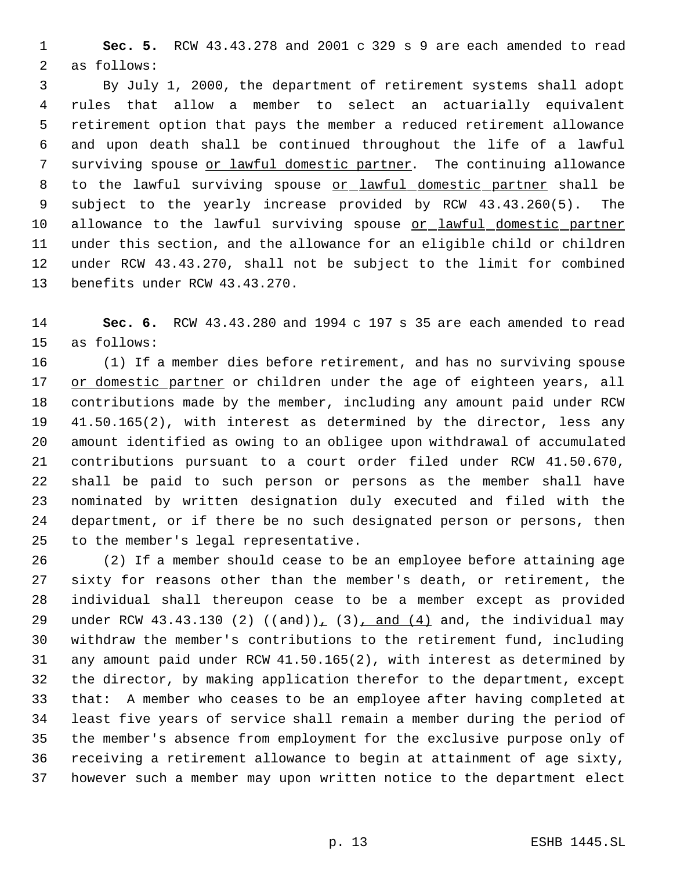**Sec. 5.** RCW 43.43.278 and 2001 c 329 s 9 are each amended to read as follows:

 By July 1, 2000, the department of retirement systems shall adopt rules that allow a member to select an actuarially equivalent retirement option that pays the member a reduced retirement allowance and upon death shall be continued throughout the life of a lawful surviving spouse or lawful domestic partner. The continuing allowance 8 to the lawful surviving spouse or lawful domestic partner shall be subject to the yearly increase provided by RCW 43.43.260(5). The 10 allowance to the lawful surviving spouse or lawful domestic partner under this section, and the allowance for an eligible child or children under RCW 43.43.270, shall not be subject to the limit for combined benefits under RCW 43.43.270.

 **Sec. 6.** RCW 43.43.280 and 1994 c 197 s 35 are each amended to read as follows:

 (1) If a member dies before retirement, and has no surviving spouse 17 or domestic partner or children under the age of eighteen years, all contributions made by the member, including any amount paid under RCW 41.50.165(2), with interest as determined by the director, less any amount identified as owing to an obligee upon withdrawal of accumulated contributions pursuant to a court order filed under RCW 41.50.670, shall be paid to such person or persons as the member shall have nominated by written designation duly executed and filed with the department, or if there be no such designated person or persons, then to the member's legal representative.

 (2) If a member should cease to be an employee before attaining age sixty for reasons other than the member's death, or retirement, the individual shall thereupon cease to be a member except as provided 29 under RCW 43.43.130 (2)  $((and))_1$  (3), and (4) and, the individual may withdraw the member's contributions to the retirement fund, including any amount paid under RCW 41.50.165(2), with interest as determined by the director, by making application therefor to the department, except that: A member who ceases to be an employee after having completed at least five years of service shall remain a member during the period of the member's absence from employment for the exclusive purpose only of receiving a retirement allowance to begin at attainment of age sixty, however such a member may upon written notice to the department elect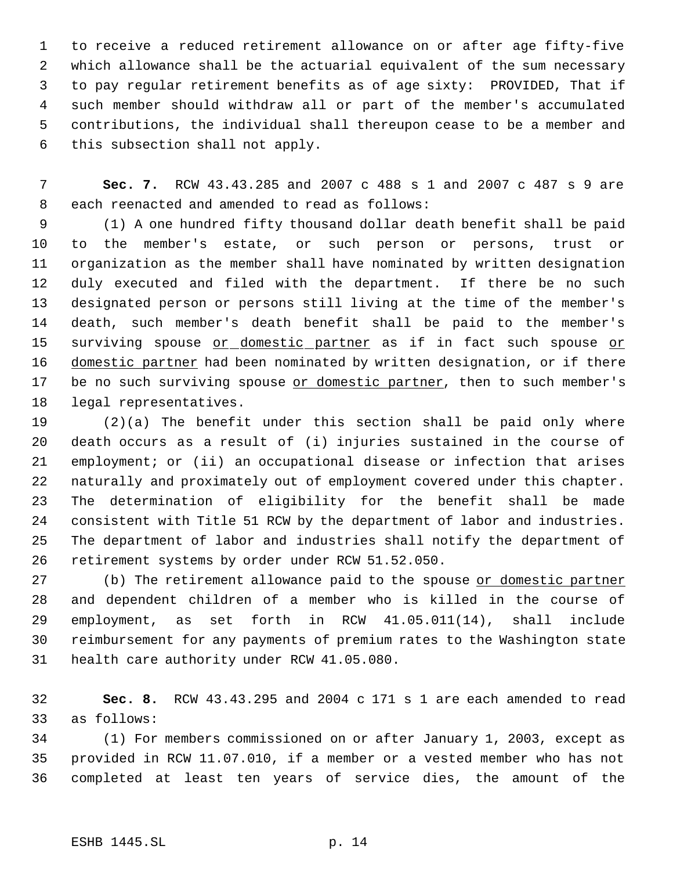to receive a reduced retirement allowance on or after age fifty-five which allowance shall be the actuarial equivalent of the sum necessary to pay regular retirement benefits as of age sixty: PROVIDED, That if such member should withdraw all or part of the member's accumulated contributions, the individual shall thereupon cease to be a member and this subsection shall not apply.

 **Sec. 7.** RCW 43.43.285 and 2007 c 488 s 1 and 2007 c 487 s 9 are each reenacted and amended to read as follows:

 (1) A one hundred fifty thousand dollar death benefit shall be paid to the member's estate, or such person or persons, trust or organization as the member shall have nominated by written designation duly executed and filed with the department. If there be no such designated person or persons still living at the time of the member's death, such member's death benefit shall be paid to the member's 15 surviving spouse or domestic partner as if in fact such spouse or 16 domestic partner had been nominated by written designation, or if there 17 be no such surviving spouse or domestic partner, then to such member's legal representatives.

 (2)(a) The benefit under this section shall be paid only where death occurs as a result of (i) injuries sustained in the course of employment; or (ii) an occupational disease or infection that arises naturally and proximately out of employment covered under this chapter. The determination of eligibility for the benefit shall be made consistent with Title 51 RCW by the department of labor and industries. The department of labor and industries shall notify the department of retirement systems by order under RCW 51.52.050.

27 (b) The retirement allowance paid to the spouse or domestic partner and dependent children of a member who is killed in the course of employment, as set forth in RCW 41.05.011(14), shall include reimbursement for any payments of premium rates to the Washington state health care authority under RCW 41.05.080.

 **Sec. 8.** RCW 43.43.295 and 2004 c 171 s 1 are each amended to read as follows:

 (1) For members commissioned on or after January 1, 2003, except as provided in RCW 11.07.010, if a member or a vested member who has not completed at least ten years of service dies, the amount of the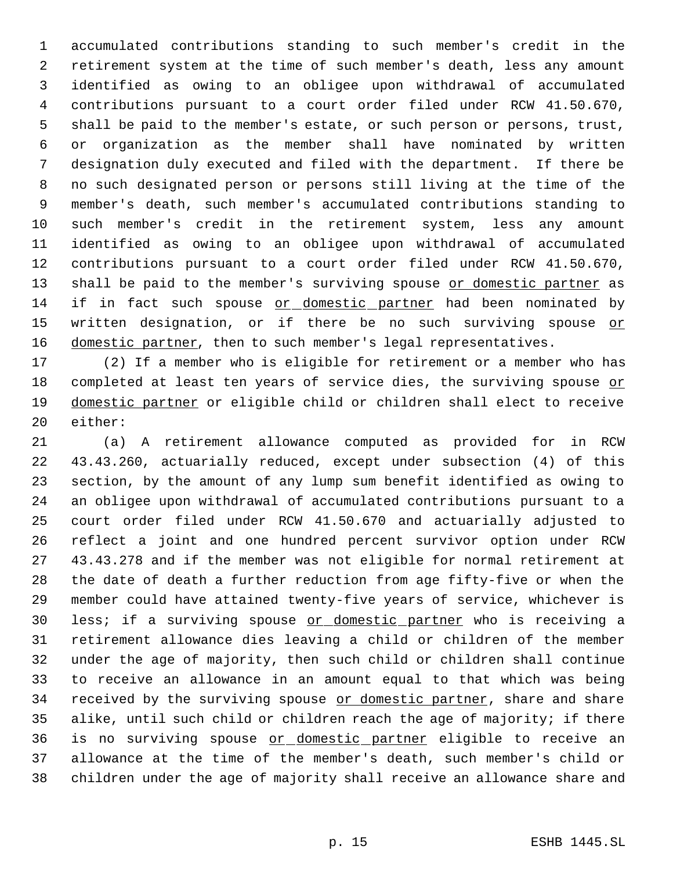accumulated contributions standing to such member's credit in the retirement system at the time of such member's death, less any amount identified as owing to an obligee upon withdrawal of accumulated contributions pursuant to a court order filed under RCW 41.50.670, shall be paid to the member's estate, or such person or persons, trust, or organization as the member shall have nominated by written designation duly executed and filed with the department. If there be no such designated person or persons still living at the time of the member's death, such member's accumulated contributions standing to such member's credit in the retirement system, less any amount identified as owing to an obligee upon withdrawal of accumulated contributions pursuant to a court order filed under RCW 41.50.670, 13 shall be paid to the member's surviving spouse or domestic partner as if in fact such spouse or domestic partner had been nominated by 15 written designation, or if there be no such surviving spouse or 16 domestic partner, then to such member's legal representatives.

 (2) If a member who is eligible for retirement or a member who has completed at least ten years of service dies, the surviving spouse or 19 domestic partner or eligible child or children shall elect to receive either:

 (a) A retirement allowance computed as provided for in RCW 43.43.260, actuarially reduced, except under subsection (4) of this section, by the amount of any lump sum benefit identified as owing to an obligee upon withdrawal of accumulated contributions pursuant to a court order filed under RCW 41.50.670 and actuarially adjusted to reflect a joint and one hundred percent survivor option under RCW 43.43.278 and if the member was not eligible for normal retirement at the date of death a further reduction from age fifty-five or when the member could have attained twenty-five years of service, whichever is 30 less; if a surviving spouse or domestic partner who is receiving a retirement allowance dies leaving a child or children of the member under the age of majority, then such child or children shall continue to receive an allowance in an amount equal to that which was being 34 received by the surviving spouse or domestic partner, share and share alike, until such child or children reach the age of majority; if there is no surviving spouse or domestic partner eligible to receive an allowance at the time of the member's death, such member's child or children under the age of majority shall receive an allowance share and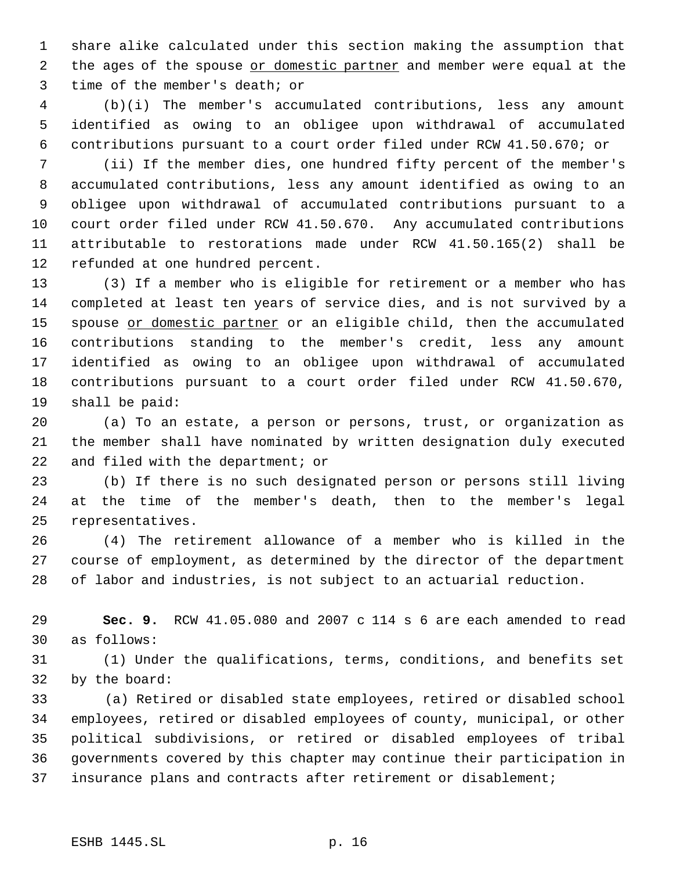share alike calculated under this section making the assumption that 2 the ages of the spouse or domestic partner and member were equal at the time of the member's death; or

 (b)(i) The member's accumulated contributions, less any amount identified as owing to an obligee upon withdrawal of accumulated contributions pursuant to a court order filed under RCW 41.50.670; or

 (ii) If the member dies, one hundred fifty percent of the member's accumulated contributions, less any amount identified as owing to an obligee upon withdrawal of accumulated contributions pursuant to a court order filed under RCW 41.50.670. Any accumulated contributions attributable to restorations made under RCW 41.50.165(2) shall be refunded at one hundred percent.

 (3) If a member who is eligible for retirement or a member who has completed at least ten years of service dies, and is not survived by a 15 spouse or domestic partner or an eligible child, then the accumulated contributions standing to the member's credit, less any amount identified as owing to an obligee upon withdrawal of accumulated contributions pursuant to a court order filed under RCW 41.50.670, shall be paid:

 (a) To an estate, a person or persons, trust, or organization as the member shall have nominated by written designation duly executed and filed with the department; or

 (b) If there is no such designated person or persons still living at the time of the member's death, then to the member's legal representatives.

 (4) The retirement allowance of a member who is killed in the course of employment, as determined by the director of the department of labor and industries, is not subject to an actuarial reduction.

 **Sec. 9.** RCW 41.05.080 and 2007 c 114 s 6 are each amended to read as follows:

 (1) Under the qualifications, terms, conditions, and benefits set by the board:

33 (a) Retired or disabled state employees, retired or disabled school employees, retired or disabled employees of county, municipal, or other political subdivisions, or retired or disabled employees of tribal governments covered by this chapter may continue their participation in insurance plans and contracts after retirement or disablement;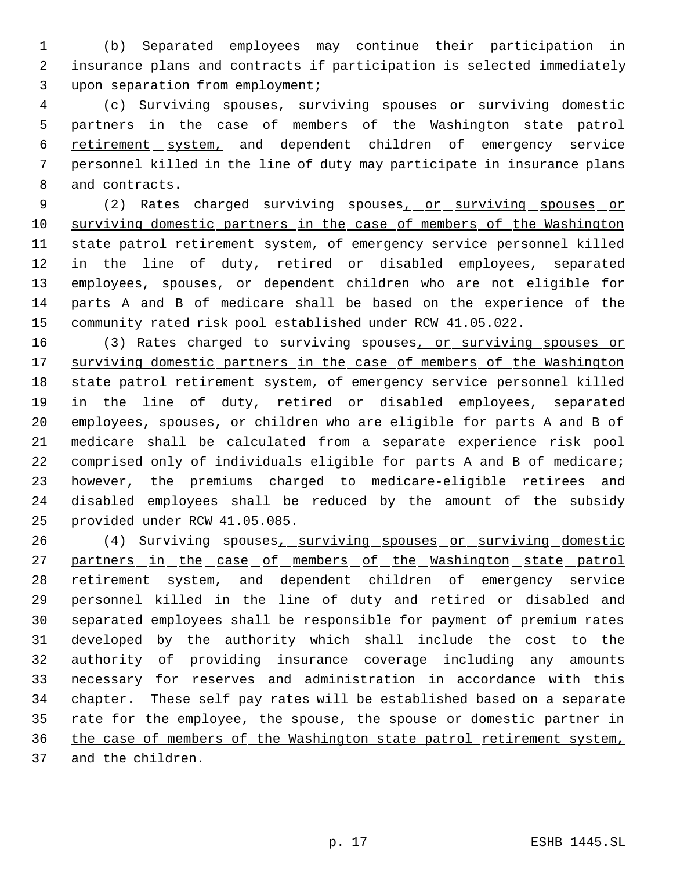(b) Separated employees may continue their participation in insurance plans and contracts if participation is selected immediately upon separation from employment;

 (c) Surviving spouses, surviving spouses or surviving domestic 5 partners in the case of members of the Washington state patrol 6 retirement system, and dependent children of emergency service personnel killed in the line of duty may participate in insurance plans and contracts.

9 (2) Rates charged surviving spouses<sub>1</sub> or surviving spouses or 10 surviving domestic partners in the case of members of the Washington 11 state patrol retirement system, of emergency service personnel killed in the line of duty, retired or disabled employees, separated employees, spouses, or dependent children who are not eligible for parts A and B of medicare shall be based on the experience of the community rated risk pool established under RCW 41.05.022.

16 (3) Rates charged to surviving spouses<sub>1</sub> or surviving spouses or 17 surviving domestic partners in the case of members of the Washington 18 state patrol retirement system, of emergency service personnel killed in the line of duty, retired or disabled employees, separated employees, spouses, or children who are eligible for parts A and B of medicare shall be calculated from a separate experience risk pool comprised only of individuals eligible for parts A and B of medicare; however, the premiums charged to medicare-eligible retirees and disabled employees shall be reduced by the amount of the subsidy provided under RCW 41.05.085.

26 (4) Surviving spouses, surviving spouses or surviving domestic 27 partners in the case of members of the Washington state patrol 28 retirement system, and dependent children of emergency service personnel killed in the line of duty and retired or disabled and separated employees shall be responsible for payment of premium rates developed by the authority which shall include the cost to the authority of providing insurance coverage including any amounts necessary for reserves and administration in accordance with this chapter. These self pay rates will be established based on a separate 35 rate for the employee, the spouse, the spouse or domestic partner in the case of members of the Washington state patrol retirement system, and the children.